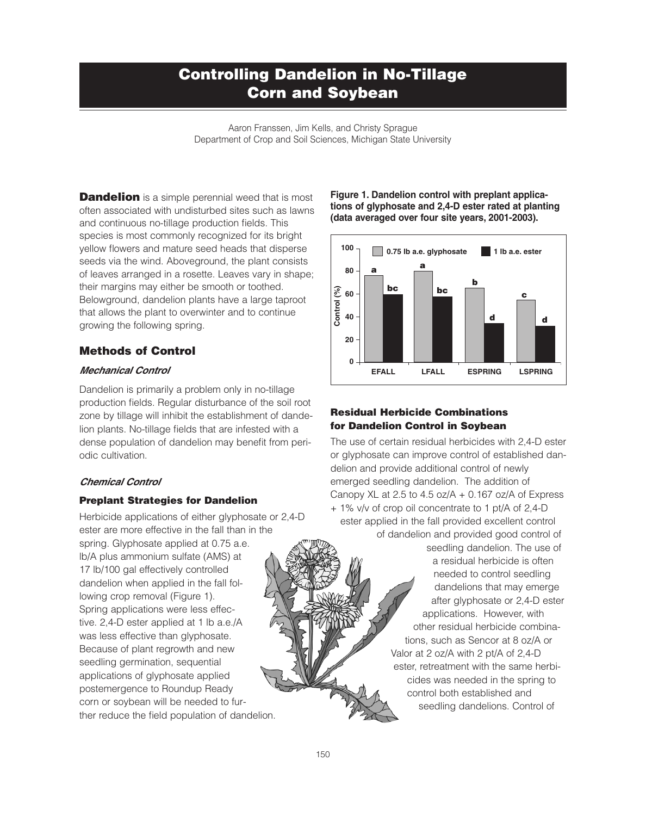# **Controlling Dandelion in No-Tillage Corn and Soybean**

Aaron Franssen, Jim Kells, and Christy Sprague Department of Crop and Soil Sciences, Michigan State University

**Dandelion** is a simple perennial weed that is most often associated with undisturbed sites such as lawns and continuous no-tillage production fields. This species is most commonly recognized for its bright yellow flowers and mature seed heads that disperse seeds via the wind. Aboveground, the plant consists of leaves arranged in a rosette. Leaves vary in shape; their margins may either be smooth or toothed. Belowground, dandelion plants have a large taproot that allows the plant to overwinter and to continue growing the following spring.

## **Methods of Control**

#### *Mechanical Control*

Dandelion is primarily a problem only in no-tillage production fields. Regular disturbance of the soil root zone by tillage will inhibit the establishment of dandelion plants. No-tillage fields that are infested with a dense population of dandelion may benefit from periodic cultivation.

### *Chemical Control*

### **Preplant Strategies for Dandelion**

Herbicide applications of either glyphosate or 2,4-D ester are more effective in the fall than in the spring. Glyphosate applied at 0.75 a.e.

lb/A plus ammonium sulfate (AMS) at 17 lb/100 gal effectively controlled dandelion when applied in the fall following crop removal (Figure 1). Spring applications were less effective. 2,4-D ester applied at 1 lb a.e./A was less effective than glyphosate. Because of plant regrowth and new seedling germination, sequential applications of glyphosate applied postemergence to Roundup Ready corn or soybean will be needed to further reduce the field population of dandelion. **Figure 1. Dandelion control with preplant applications of glyphosate and 2,4-D ester rated at planting (data averaged over four site years, 2001-2003).**



## **Residual Herbicide Combinations for Dandelion Control in Soybean**

The use of certain residual herbicides with 2,4-D ester or glyphosate can improve control of established dandelion and provide additional control of newly emerged seedling dandelion. The addition of Canopy XL at 2.5 to 4.5 oz/ $A + 0.167$  oz/ $A$  of Express

+ 1% v/v of crop oil concentrate to 1 pt/A of 2,4-D ester applied in the fall provided excellent control of dandelion and provided good control of

> seedling dandelion. The use of a residual herbicide is often needed to control seedling dandelions that may emerge after glyphosate or 2,4-D ester applications. However, with other residual herbicide combinations, such as Sencor at 8 oz/A or Valor at 2 oz/A with 2 pt/A of 2,4-D ester, retreatment with the same herbicides was needed in the spring to control both established and seedling dandelions. Control of